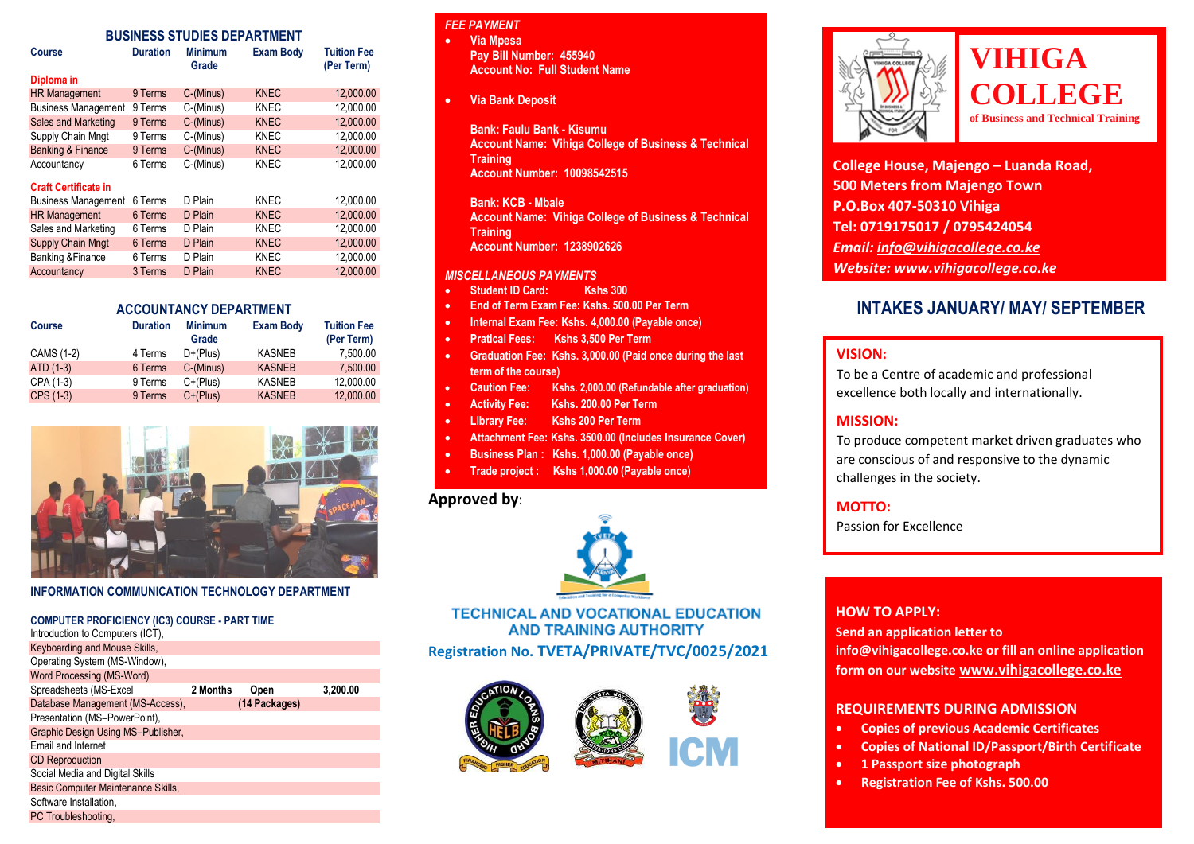# **BUSINESS STUDIES DEPARTMENT**

| BUSINESS STUDIES DEPARTMENT  |                 |                         |                  |                                  |  |  |
|------------------------------|-----------------|-------------------------|------------------|----------------------------------|--|--|
| Course                       | <b>Duration</b> | <b>Minimum</b><br>Grade | <b>Exam Body</b> | <b>Tuition Fee</b><br>(Per Term) |  |  |
| Diploma in                   |                 |                         |                  |                                  |  |  |
| <b>HR Management</b>         | 9 Terms         | C-(Minus)               | <b>KNEC</b>      | 12,000.00                        |  |  |
| <b>Business Management</b>   | 9 Terms         | C-(Minus)               | <b>KNEC</b>      | 12.000.00                        |  |  |
| Sales and Marketing          | 9 Terms         | C-(Minus)               | <b>KNEC</b>      | 12.000.00                        |  |  |
| Supply Chain Mngt            | 9 Terms         | C-(Minus)               | <b>KNEC</b>      | 12.000.00                        |  |  |
| <b>Banking &amp; Finance</b> | 9 Terms         | C-(Minus)               | <b>KNEC</b>      | 12,000.00                        |  |  |
| Accountancy                  | 6 Terms         | C-(Minus)               | <b>KNEC</b>      | 12,000.00                        |  |  |
| <b>Craft Certificate in</b>  |                 |                         |                  |                                  |  |  |
| <b>Business Management</b>   | 6 Terms         | D Plain                 | KNEC             | 12.000.00                        |  |  |
| <b>HR Management</b>         | 6 Terms         | D Plain                 | <b>KNEC</b>      | 12.000.00                        |  |  |
| Sales and Marketing          | 6 Terms         | D Plain                 | <b>KNEC</b>      | 12.000.00                        |  |  |
| <b>Supply Chain Mngt</b>     | 6 Terms         | D Plain                 | <b>KNEC</b>      | 12,000.00                        |  |  |
| <b>Banking &amp; Finance</b> | 6 Terms         | D Plain                 | KNEC             | 12,000.00                        |  |  |
| Accountancy                  | 3 Terms         | D Plain                 | <b>KNEC</b>      | 12.000.00                        |  |  |
|                              |                 |                         |                  |                                  |  |  |

#### **ACCOUNTANCY DEPARTMENT**

| <b>Course</b> | <b>Duration</b> | <b>Minimum</b><br>Grade | <b>Exam Body</b> | <b>Tuition Fee</b><br>(Per Term) |
|---------------|-----------------|-------------------------|------------------|----------------------------------|
| CAMS (1-2)    | 4 Terms         | $D+(Plus)$              | <b>KASNEB</b>    | 7.500.00                         |
| ATD (1-3)     | 6 Terms         | C-(Minus)               | <b>KASNEB</b>    | 7.500.00                         |
| CPA (1-3)     | 9 Terms         | $C+(Plus)$              | <b>KASNEB</b>    | 12.000.00                        |
| CPS (1-3)     | 9 Terms         | $C+(Plus)$              | <b>KASNEB</b>    | 12,000.00                        |



#### **INFORMATION COMMUNICATION TECHNOLOGY DEPARTMENT**

| <b>COMPUTER PROFICIENCY (IC3) COURSE - PART TIME</b> |          |               |          |
|------------------------------------------------------|----------|---------------|----------|
| Introduction to Computers (ICT),                     |          |               |          |
| Keyboarding and Mouse Skills,                        |          |               |          |
| Operating System (MS-Window),                        |          |               |          |
| Word Processing (MS-Word)                            |          |               |          |
| Spreadsheets (MS-Excel                               | 2 Months | Open          | 3,200.00 |
| Database Management (MS-Access).                     |          | (14 Packages) |          |
| Presentation (MS-PowerPoint),                        |          |               |          |
| Graphic Design Using MS-Publisher,                   |          |               |          |
| Email and Internet                                   |          |               |          |
| <b>CD</b> Reproduction                               |          |               |          |
| Social Media and Digital Skills                      |          |               |          |
| Basic Computer Maintenance Skills,                   |          |               |          |
| Software Installation.                               |          |               |          |
| PC Troubleshooting.                                  |          |               |          |

# **FEE PAYMENT**

 **Via Mpesa Pay Bill Number: 455940 Account No: Full Student Name**

#### **Via Bank Deposit**

**Bank: Faulu Bank - Kisumu Account Name: Vihiga College of Business & Technical Training Account Number: 10098542515**

**Bank: KCB - Mbale Account Name: Vihiga College of Business & Technical Training Account Number: 1238902626**

#### *MISCELLANEOUS PAYMENTS*

- **Student ID Card: Kshs 300**
- **End of Term Exam Fee: Kshs. 500.00 Per Term**
- **Internal Exam Fee: Kshs. 4,000.00 (Payable once)**
- **Pratical Fees: Kshs 3,500 Per Term**
- **Graduation Fee: Kshs. 3,000.00 (Paid once during the last term of the course)**
- **Caution Fee: Kshs. 2,000.00 (Refundable after graduation)**
- **Activity Fee: Kshs. 200.00 Per Term**
- **Library Fee: Kshs 200 Per Term**
- **Attachment Fee: Kshs. 3500.00 (Includes Insurance Cover)**
- **Business Plan : Kshs. 1,000.00 (Payable once)**
- **Trade project : Kshs 1,000.00 (Payable once)**

# **Approved by**:



# **TECHNICAL AND VOCATIONAL EDUCATION AND TRAINING AUTHORITY Registration No. TVETA/PRIVATE/TVC/0025/2021**







# **VIHIGA COLLEGE of Business and Technical Training**

**College House, Majengo – Luanda Road, 500 Meters from Majengo Town P.O.Box 407-50310 Vihiga Tel: 0719175017 / 0795424054** *Email[: info@vihigacollege.co.ke](mailto:info@vihigacollege.co.ke) Website: www.vihigacollege.co.ke*

# **INTAKES JANUARY/ MAY/ SEPTEMBER**

#### **VISION:**

To be a Centre of academic and professional excellence both locally and internationally.

# **MISSION:**

To produce competent market driven graduates who are conscious of and responsive to the dynamic challenges in the society.

# **MOTTO:**

Passion for Excellence

#### **HOW TO APPLY:**

**Send an application letter to info@vihigacollege.co.ke or fill an online application form on our website [www.vihigacollege.co.ke](http://www.vihigacollege.co.ke/)**

#### **REQUIREMENTS DURING ADMISSION**

- **Copies of previous Academic Certificates**
- **Copies of National ID/Passport/Birth Certificate**
- **1 Passport size photograph**
- **Registration Fee of Kshs. 500.00**